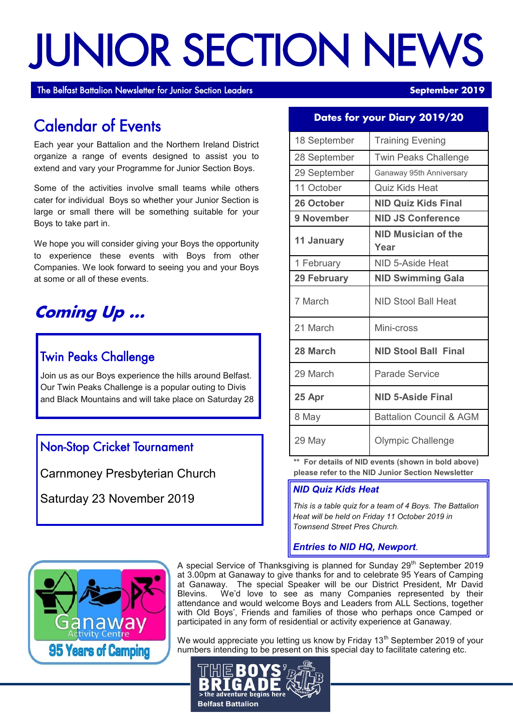# JUNIOR SECTION NEWS

The Belfast Battalion Newsletter for Junior Section Leaders **September 2019 September 2019** 

## Calendar of Events

Each year your Battalion and the Northern Ireland District organize a range of events designed to assist you to extend and vary your Programme for Junior Section Boys.

Some of the activities involve small teams while others cater for individual Boys so whether your Junior Section is large or small there will be something suitable for your Boys to take part in.

We hope you will consider giving your Boys the opportunity to experience these events with Boys from other Companies. We look forward to seeing you and your Boys at some or all of these events.

## **Coming Up ...**

#### I Twin Peaks Challenge

Join us as our Boys experience the hills around Belfast. Our Twin Peaks Challenge is a popular outing to Divis and Black Mountains and will take place on Saturday 28

#### Non-Stop Cricket Tournament

Carnmoney Presbyterian Church

Saturday 23 November 2019

#### **Dates for your Diary 2019/20**

| 18 September       | <b>Training Evening</b>            |  |
|--------------------|------------------------------------|--|
| 28 September       | <b>Twin Peaks Challenge</b>        |  |
| 29 September       | Ganaway 95th Anniversary           |  |
| 11 October         | <b>Quiz Kids Heat</b>              |  |
| 26 October         | <b>NID Quiz Kids Final</b>         |  |
| 9 November         | <b>NID JS Conference</b>           |  |
| 11 January         | NID Musician of the<br>Year        |  |
| 1 February         | NID 5-Aside Heat                   |  |
| <b>29 February</b> | <b>NID Swimming Gala</b>           |  |
| 7 March            | NID Stool Ball Heat                |  |
| 21 March           | Mini-cross                         |  |
| 28 March           | <b>NID Stool Ball Final</b>        |  |
| 29 March           | Parade Service                     |  |
| 25 Apr             | <b>NID 5-Aside Final</b>           |  |
| 8 May              | <b>Battalion Council &amp; AGM</b> |  |
| 29 May             | <b>Olympic Challenge</b>           |  |

**\*\* For details of NID events (shown in bold above) please refer to the NID Junior Section Newsletter**

#### *NID Quiz Kids Heat*

*This is a table quiz for a team of 4 Boys. The Battalion Heat will be held on Friday 11 October 2019 in Townsend Street Pres Church.*

#### *Entries to NID HQ, Newport.*



A special Service of Thanksgiving is planned for Sunday  $29<sup>th</sup>$  September 2019 at 3.00pm at Ganaway to give thanks for and to celebrate 95 Years of Camping at Ganaway. The special Speaker will be our District President, Mr David Blevins. We'd love to see as many Companies represented by their attendance and would welcome Boys and Leaders from ALL Sections, together with Old Boys', Friends and families of those who perhaps once Camped or participated in any form of residential or activity experience at Ganaway.

We would appreciate you letting us know by Friday  $13<sup>th</sup>$  September 2019 of your numbers intending to be present on this special day to facilitate catering etc.

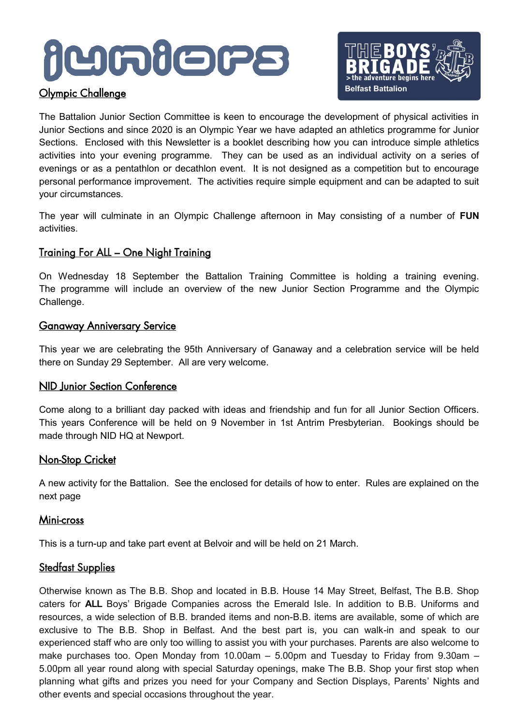## **AUGABORS**

#### Olympic Challenge



The Battalion Junior Section Committee is keen to encourage the development of physical activities in Junior Sections and since 2020 is an Olympic Year we have adapted an athletics programme for Junior Sections. Enclosed with this Newsletter is a booklet describing how you can introduce simple athletics activities into your evening programme. They can be used as an individual activity on a series of evenings or as a pentathlon or decathlon event. It is not designed as a competition but to encourage personal performance improvement. The activities require simple equipment and can be adapted to suit your circumstances.

The year will culminate in an Olympic Challenge afternoon in May consisting of a number of **FUN**  activities.

#### Training For ALL – One Night Training

On Wednesday 18 September the Battalion Training Committee is holding a training evening. The programme will include an overview of the new Junior Section Programme and the Olympic Challenge.

#### Ganaway Anniversary Service

This year we are celebrating the 95th Anniversary of Ganaway and a celebration service will be held there on Sunday 29 September. All are very welcome.

#### NID Junior Section Conference

Come along to a brilliant day packed with ideas and friendship and fun for all Junior Section Officers. This years Conference will be held on 9 November in 1st Antrim Presbyterian. Bookings should be made through NID HQ at Newport.

#### **Non-Stop Cricket**

A new activity for the Battalion. See the enclosed for details of how to enter. Rules are explained on the next page

#### Mini-cross

This is a turn-up and take part event at Belvoir and will be held on 21 March.

#### **Stedfast Supplies**

Otherwise known as The B.B. Shop and located in B.B. House 14 May Street, Belfast, The B.B. Shop caters for **ALL** Boys' Brigade Companies across the Emerald Isle. In addition to B.B. Uniforms and resources, a wide selection of B.B. branded items and non-B.B. items are available, some of which are exclusive to The B.B. Shop in Belfast. And the best part is, you can walk-in and speak to our experienced staff who are only too willing to assist you with your purchases. Parents are also welcome to make purchases too. Open Monday from 10.00am – 5.00pm and Tuesday to Friday from 9.30am – 5.00pm all year round along with special Saturday openings, make The B.B. Shop your first stop when planning what gifts and prizes you need for your Company and Section Displays, Parents' Nights and other events and special occasions throughout the year.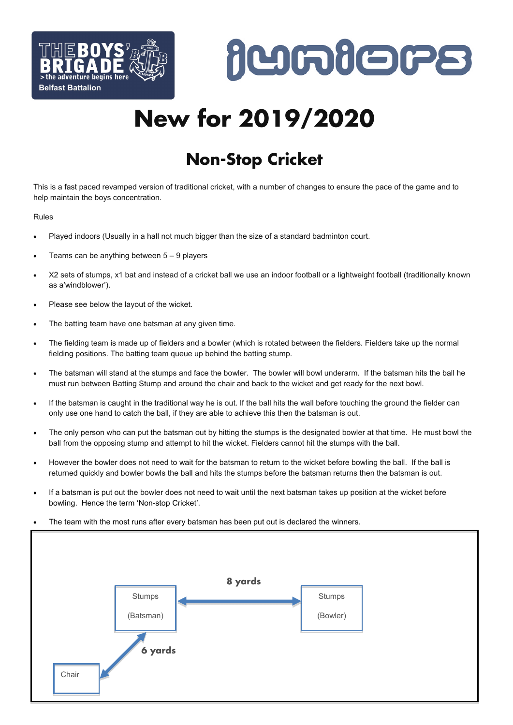



## **New for 2019/2020**

## **Non-Stop Cricket**

This is a fast paced revamped version of traditional cricket, with a number of changes to ensure the pace of the game and to help maintain the boys concentration.

#### Rules

- Played indoors (Usually in a hall not much bigger than the size of a standard badminton court.
- Teams can be anything between 5 9 players
- X2 sets of stumps, x1 bat and instead of a cricket ball we use an indoor football or a lightweight football (traditionally known as a'windblower').
- Please see below the layout of the wicket.
- The batting team have one batsman at any given time.
- The fielding team is made up of fielders and a bowler (which is rotated between the fielders. Fielders take up the normal fielding positions. The batting team queue up behind the batting stump.
- The batsman will stand at the stumps and face the bowler. The bowler will bowl underarm. If the batsman hits the ball he must run between Batting Stump and around the chair and back to the wicket and get ready for the next bowl.
- If the batsman is caught in the traditional way he is out. If the ball hits the wall before touching the ground the fielder can only use one hand to catch the ball, if they are able to achieve this then the batsman is out.
- The only person who can put the batsman out by hitting the stumps is the designated bowler at that time. He must bowl the ball from the opposing stump and attempt to hit the wicket. Fielders cannot hit the stumps with the ball.
- However the bowler does not need to wait for the batsman to return to the wicket before bowling the ball. If the ball is returned quickly and bowler bowls the ball and hits the stumps before the batsman returns then the batsman is out.
- If a batsman is put out the bowler does not need to wait until the next batsman takes up position at the wicket before bowling. Hence the term 'Non-stop Cricket'.
- The team with the most runs after every batsman has been put out is declared the winners.